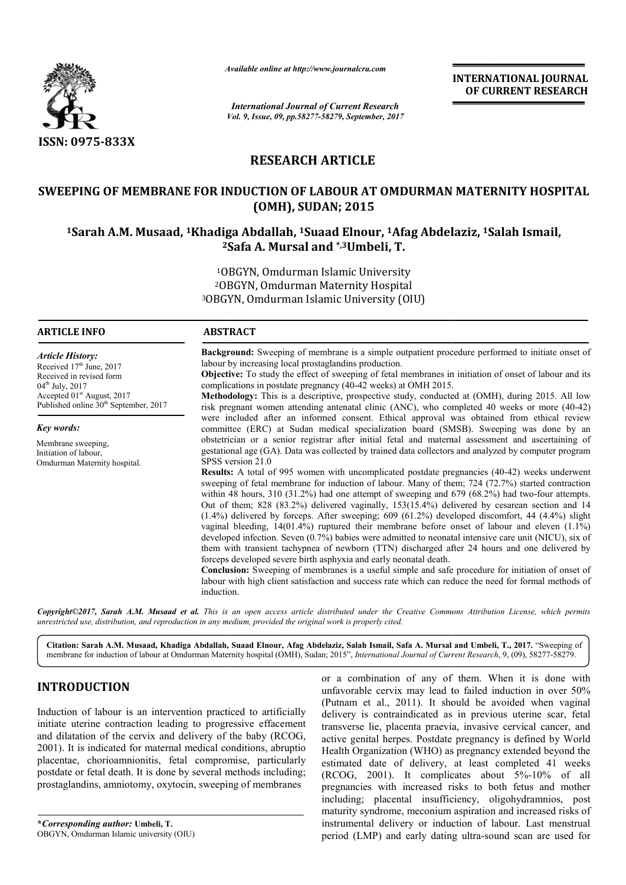

*Available online at http://www.journal http://www.journalcra.com*

*International Journal of Current Research Vol. 9, Issue, 09, pp.58277-58279, September, 2017* **INTERNATIONAL JOURNAL OF CURRENT RESEARCH** 

# **RESEARCH ARTICLE**

# **SWEEPING OF MEMBRANE FOR INDUCTION OF LABOUR AT OMDURMAN MATERNITY HOSPITAL**  EPING OF MEMBRANE FOR INDUCTION OF LABOUR AT OMDURMAN MATERNITY HOSP<br>OMH), SUDAN; 2015)<br><sup>1</sup>Sarah A.M. Musaad, <sup>1</sup>Khadiga Abdallah, <sup>1</sup>Suaad Elnour, <sup>1</sup>Afag Abdelaziz, <sup>1</sup>Salah Ismail, **(OMH), SUDAN; 2015**

# **2 2Safa A. Mursal and \*,3Umbeli, T.**

1OBG OBGYN, Omdurman Islamic University <sup>2</sup>OBGYN, Omdurman Maternity Hospital 3OBGYN, Omdurman Islamic OBGYN, University (OIU)

#### **ARTICLE INFO ABSTRACT**

*Article History:* Received 17<sup>th</sup> June, 2017 Received in revised form 04<sup>th</sup> July, 2017

*Key words:* Membrane sweeping Initiation of labour,

Accepted 01<sup>st</sup> August, 2017 Published online  $30<sup>th</sup>$  September, 2017

Omdurman Maternity hospital.

**Background:** Sweeping of membrane is a simple outpatient procedure performed to initiate onset of labour by increasing local prostaglandins production.

**Objective:** To study the effect of sweeping of fetal membranes in initiation of onset of labour and its complications in postdate pregnancy (40-42 weeks) at OMH 2015.

**Methodology:** This is a descriptive, prospective study, conducted at (OMH), during 2015. All low risk pregnant women attending antenatal clinic (ANC), who completed 40 weeks or more (40-42) were included after an informed consent. Ethical approval was obtained from ethical review committee (ERC) at Sudan medical specialization board (SMSB). Sweeping was done by an obstetrician or a senior registrar after initial fetal and maternal assessment and ascertaining of gestational age (GA). Data was collected by trained data collectors and analyzed by computer program SPSS version 21.0 committee (ERC) at Sudan medical specialization board (SMSB). Sweeping was done by an obstetrician or a senior registrar after initial fetal and maternal assessment and ascertaining of gestational age (GA). Data was collec **Background:** Sweeping of membrane is a simple outpatient procedure performed to initiate onset of labour by increasing local prostaglandins production.<br> **Objective:** To study the effect of sweeping of fetal membranes in i

sweeping of fetal membrane for induction of labour. Many of them; 724 (72.7%) started contraction sweeping of fetal membrane for induction of labour. Many of them; 724 (72.7%) started contraction within 48 hours, 310 (31.2%) had one attempt of sweeping and 679 (68.2%) had two-four attempts. Out of them; 828 (83.2%) delivered vaginally, 153(15.4%) delivered by cesarean section and 14 Out of them; 828 (83.2%) delivered vaginally,  $153(15.4%)$  delivered by cesarean section and 14 (1.4%) delivered by forceps. After sweeping; 609 (61.2%) developed discomfort, 44 (4.4%) slight vaginal bleeding, 14(01.4%) ruptured their membrane before onset of labour and eleven (1.1%) developed infection. Seven (0.7%) babies were admitted to neonatal intensive care unit (NICU), six of them with transient tachypnea of n forceps developed severe birth asphyxia and early neonatal death. hin 48 hours, 310 (31.2%) had one attempt of sweeping and 679 (68.2%) had two-four attempts.<br>t of them; 828 (83.2%) delivered vaginally, 153(15.4%) delivered by cesarean section and 14<br>4%) delivered by forceps. After swee vaginal bleeding, 14(01.4%) ruptured their membrane before onset of labour and eleven (1.19 developed infection. Seven (0.7%) babies were admitted to neonatal intensive care unit (NICU), six them with transient tachypnea o

**Conclusion:** Sweeping of membranes is a useful simple and safe procedure for initiation of onset of **Conclusion:** Sweeping of membranes is a useful simple and safe procedure for initiation of onset of labour with high client satisfaction and success rate which can reduce the need for formal methods of induction.

Copyright©2017, Sarah A.M. Musaad et al. This is an open access article distributed under the Creative Commons Attribution License, which permits *unrestricted use, distribution, and reproduction in any medium, provided the original work is properly cited.*

Citation: Sarah A.M. Musaad, Khadiga Abdallah, Suaad Elnour, Afag Abdelaziz, Salah Ismail, Safa A. Mursal and Umbeli, T., 2017. "Sweeping of membrane for induction of labour at Omdurman Maternity hospital (OMH), Sudan; 2015", *International Journal of Current Research*, 9, (09), 58277-58279.

## **INTRODUCTION**

Induction of labour is an intervention practiced to artificially initiate uterine contraction leading to progressive effacement and dilatation of the cervix and delivery of the baby (RCOG, 2001). It is indicated for maternal medical conditions, abruptio placentae, chorioamnionitis, fetal compromise, particularly postdate or fetal death. It is done by several methods including; prostaglandins, amniotomy, oxytocin, sweeping of membranes

**\****Corresponding author:* **Umbeli, T.** OBGYN, Omdurman Islamic university (OIU)

**RODUCTION**<br>
or a combination of any of them. When it is done with<br>
unfavorable cervix may lead to failed induction in over 50%<br>
(Putnam et al., 2011). It should be avoided when vaginal<br>
e uterine contraction leading to pr unfavorable cervix may lead to failed induction in over 50% (Putnam et al., 2011). It should be avoided when vaginal delivery is contraindicated as in previous uterine scar, fetal or a combination of any of them. When it is done with unfavorable cervix may lead to failed induction in over 50% (Putnam et al., 2011). It should be avoided when vaginal delivery is contraindicated as in previous uterine active genital herpes. Postdate pregnancy is defined by World Health Organization (WHO) as pregnancy extended beyond the estimated date of delivery, at least completed 41 weeks (RCOG, 2001). It complicates about  $5\% - 10\%$  of all pregnancies with increased risks to both fetus and mother including; placental insufficiency, oligohydramnios, post maturity syndrome, meconium aspiration and increased risks of instrumental delivery or induction of labour. Last menstrual period (LMP) and early dating ultra-sound scan are used for rpes. Postdate pregnancy is defined by World<br>ion (WHO) as pregnancy extended beyond the<br>of delivery, at least completed 41 weeks<br>It complicates about 5%-10% of all pregnancies with increased risks to both fetus and mother including; placental insufficiency, oligohydramnios, post maturity syndrome, meconium aspiration and increased risks of instrumental delivery or induction of labour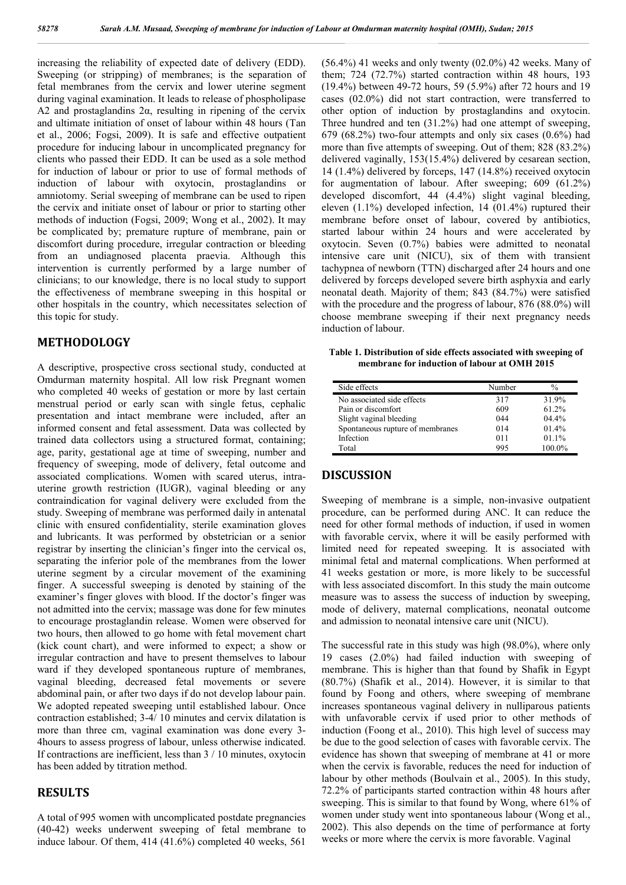increasing the reliability of expected date of delivery (EDD). Sweeping (or stripping) of membranes; is the separation of fetal membranes from the cervix and lower uterine segment during vaginal examination. It leads to release of phospholipase A2 and prostaglandins  $2\alpha$ , resulting in ripening of the cervix and ultimate initiation of onset of labour within 48 hours (Tan et al., 2006; Fogsi, 2009). It is safe and effective outpatient procedure for inducing labour in uncomplicated pregnancy for clients who passed their EDD. It can be used as a sole method for induction of labour or prior to use of formal methods of induction of labour with oxytocin, prostaglandins or amniotomy. Serial sweeping of membrane can be used to ripen the cervix and initiate onset of labour or prior to starting other methods of induction (Fogsi, 2009; Wong et al., 2002). It may be complicated by; premature rupture of membrane, pain or discomfort during procedure, irregular contraction or bleeding from an undiagnosed placenta praevia. Although this intervention is currently performed by a large number of clinicians; to our knowledge, there is no local study to support the effectiveness of membrane sweeping in this hospital or other hospitals in the country, which necessitates selection of this topic for study.

### **METHODOLOGY**

A descriptive, prospective cross sectional study, conducted at Omdurman maternity hospital. All low risk Pregnant women who completed 40 weeks of gestation or more by last certain menstrual period or early scan with single fetus, cephalic presentation and intact membrane were included, after an informed consent and fetal assessment. Data was collected by trained data collectors using a structured format, containing; age, parity, gestational age at time of sweeping, number and frequency of sweeping, mode of delivery, fetal outcome and associated complications. Women with scared uterus, intrauterine growth restriction (IUGR), vaginal bleeding or any contraindication for vaginal delivery were excluded from the study. Sweeping of membrane was performed daily in antenatal clinic with ensured confidentiality, sterile examination gloves and lubricants. It was performed by obstetrician or a senior registrar by inserting the clinician's finger into the cervical os, separating the inferior pole of the membranes from the lower uterine segment by a circular movement of the examining finger. A successful sweeping is denoted by staining of the examiner's finger gloves with blood. If the doctor's finger was not admitted into the cervix; massage was done for few minutes to encourage prostaglandin release. Women were observed for two hours, then allowed to go home with fetal movement chart (kick count chart), and were informed to expect; a show or irregular contraction and have to present themselves to labour ward if they developed spontaneous rupture of membranes, vaginal bleeding, decreased fetal movements or severe abdominal pain, or after two days if do not develop labour pain. We adopted repeated sweeping until established labour. Once contraction established; 3-4/ 10 minutes and cervix dilatation is more than three cm, vaginal examination was done every 3- 4hours to assess progress of labour, unless otherwise indicated. If contractions are inefficient, less than 3 / 10 minutes, oxytocin has been added by titration method.

#### **RESULTS**

A total of 995 women with uncomplicated postdate pregnancies (40-42) weeks underwent sweeping of fetal membrane to induce labour. Of them, 414 (41.6%) completed 40 weeks, 561  $(56.4%)$  41 weeks and only twenty  $(02.0%)$  42 weeks. Many of them; 724 (72.7%) started contraction within 48 hours, 193 (19.4%) between 49-72 hours, 59 (5.9%) after 72 hours and 19 cases (02.0%) did not start contraction, were transferred to other option of induction by prostaglandins and oxytocin. Three hundred and ten (31.2%) had one attempt of sweeping, 679 (68.2%) two-four attempts and only six cases (0.6%) had more than five attempts of sweeping. Out of them; 828 (83.2%) delivered vaginally, 153(15.4%) delivered by cesarean section, 14 (1.4%) delivered by forceps, 147 (14.8%) received oxytocin for augmentation of labour. After sweeping; 609 (61.2%) developed discomfort, 44 (4.4%) slight vaginal bleeding, eleven (1.1%) developed infection, 14 (01.4%) ruptured their membrane before onset of labour, covered by antibiotics, started labour within 24 hours and were accelerated by oxytocin. Seven (0.7%) babies were admitted to neonatal intensive care unit (NICU), six of them with transient tachypnea of newborn (TTN) discharged after 24 hours and one delivered by forceps developed severe birth asphyxia and early neonatal death. Majority of them; 843 (84.7%) were satisfied with the procedure and the progress of labour, 876 (88.0%) will choose membrane sweeping if their next pregnancy needs induction of labour.

**Table 1. Distribution of side effects associated with sweeping of membrane for induction of labour at OMH 2015**

| Side effects                     | Number | $\frac{0}{0}$ |
|----------------------------------|--------|---------------|
| No associated side effects       | 317    | 31.9%         |
| Pain or discomfort               | 609    | 61.2%         |
| Slight vaginal bleeding          | 044    | $04.4\%$      |
| Spontaneous rupture of membranes | 014    | 01.4%         |
| Infection                        | 011    | 01.1%         |
| Total                            | 995    | 100.0%        |

#### **DISCUSSION**

Sweeping of membrane is a simple, non-invasive outpatient procedure, can be performed during ANC. It can reduce the need for other formal methods of induction, if used in women with favorable cervix, where it will be easily performed with limited need for repeated sweeping. It is associated with minimal fetal and maternal complications. When performed at 41 weeks gestation or more, is more likely to be successful with less associated discomfort. In this study the main outcome measure was to assess the success of induction by sweeping, mode of delivery, maternal complications, neonatal outcome and admission to neonatal intensive care unit (NICU).

The successful rate in this study was high (98.0%), where only 19 cases (2.0%) had failed induction with sweeping of membrane. This is higher than that found by Shafik in Egypt (80.7%) (Shafik et al., 2014). However, it is similar to that found by Foong and others, where sweeping of membrane increases spontaneous vaginal delivery in nulliparous patients with unfavorable cervix if used prior to other methods of induction (Foong et al., 2010). This high level of success may be due to the good selection of cases with favorable cervix. The evidence has shown that sweeping of membrane at 41 or more when the cervix is favorable, reduces the need for induction of labour by other methods (Boulvain et al., 2005). In this study, 72.2% of participants started contraction within 48 hours after sweeping. This is similar to that found by Wong, where 61% of women under study went into spontaneous labour (Wong et al., 2002). This also depends on the time of performance at forty weeks or more where the cervix is more favorable. Vaginal